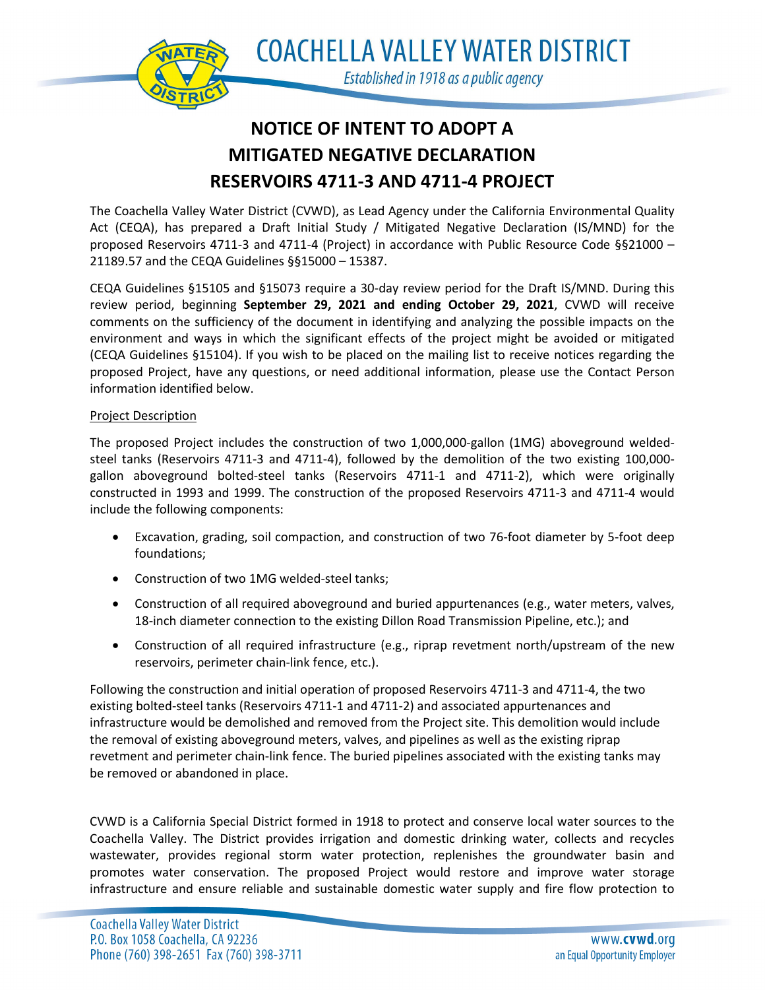

**COACHELLA VALLEY WATER DISTRICT** Established in 1918 as a public agency

# **NOTICE OF INTENT TO ADOPT A MITIGATED NEGATIVE DECLARATION RESERVOIRS 4711-3 AND 4711-4 PROJECT**

The Coachella Valley Water District (CVWD), as Lead Agency under the California Environmental Quality Act (CEQA), has prepared a Draft Initial Study / Mitigated Negative Declaration (IS/MND) for the proposed Reservoirs 4711-3 and 4711-4 (Project) in accordance with Public Resource Code §§21000 – 21189.57 and the CEQA Guidelines §§15000 – 15387.

CEQA Guidelines §15105 and §15073 require a 30-day review period for the Draft IS/MND. During this review period, beginning **September 29, 2021 and ending October 29, 2021**, CVWD will receive comments on the sufficiency of the document in identifying and analyzing the possible impacts on the environment and ways in which the significant effects of the project might be avoided or mitigated (CEQA Guidelines §15104). If you wish to be placed on the mailing list to receive notices regarding the proposed Project, have any questions, or need additional information, please use the Contact Person information identified below.

## Project Description

The proposed Project includes the construction of two 1,000,000-gallon (1MG) aboveground weldedsteel tanks (Reservoirs 4711-3 and 4711-4), followed by the demolition of the two existing 100,000 gallon aboveground bolted-steel tanks (Reservoirs 4711-1 and 4711-2), which were originally constructed in 1993 and 1999. The construction of the proposed Reservoirs 4711-3 and 4711-4 would include the following components:

- Excavation, grading, soil compaction, and construction of two 76-foot diameter by 5-foot deep foundations;
- Construction of two 1MG welded-steel tanks;
- Construction of all required aboveground and buried appurtenances (e.g., water meters, valves, 18-inch diameter connection to the existing Dillon Road Transmission Pipeline, etc.); and
- Construction of all required infrastructure (e.g., riprap revetment north/upstream of the new reservoirs, perimeter chain-link fence, etc.).

Following the construction and initial operation of proposed Reservoirs 4711-3 and 4711-4, the two existing bolted-steel tanks (Reservoirs 4711-1 and 4711-2) and associated appurtenances and infrastructure would be demolished and removed from the Project site. This demolition would include the removal of existing aboveground meters, valves, and pipelines as well as the existing riprap revetment and perimeter chain-link fence. The buried pipelines associated with the existing tanks may be removed or abandoned in place.

CVWD is a California Special District formed in 1918 to protect and conserve local water sources to the Coachella Valley. The District provides irrigation and domestic drinking water, collects and recycles wastewater, provides regional storm water protection, replenishes the groundwater basin and promotes water conservation. The proposed Project would restore and improve water storage infrastructure and ensure reliable and sustainable domestic water supply and fire flow protection to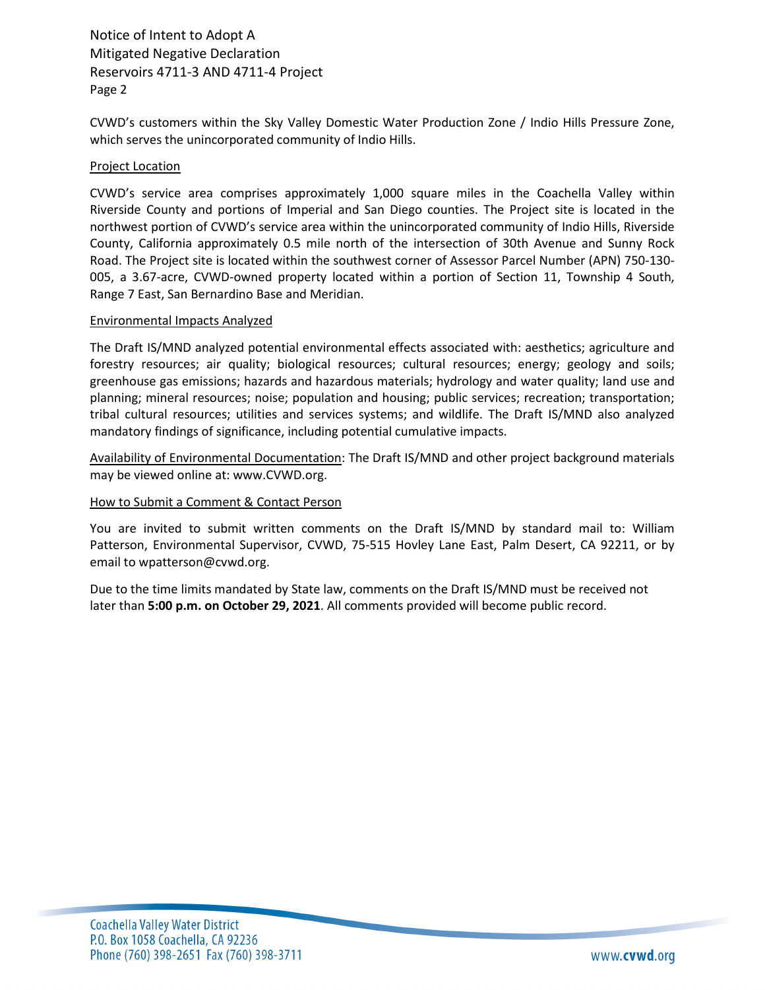Notice of Intent to Adopt A Mitigated Negative Declaration Reservoirs 4711-3 AND 4711-4 Project Page 2

CVWD's customers within the Sky Valley Domestic Water Production Zone / Indio Hills Pressure Zone, which serves the unincorporated community of Indio Hills.

#### Project Location

CVWD's service area comprises approximately 1,000 square miles in the Coachella Valley within Riverside County and portions of Imperial and San Diego counties. The Project site is located in the northwest portion of CVWD's service area within the unincorporated community of Indio Hills, Riverside County, California approximately 0.5 mile north of the intersection of 30th Avenue and Sunny Rock Road. The Project site is located within the southwest corner of Assessor Parcel Number (APN) 750-130- 005, a 3.67-acre, CVWD-owned property located within a portion of Section 11, Township 4 South, Range 7 East, San Bernardino Base and Meridian.

#### Environmental Impacts Analyzed

The Draft IS/MND analyzed potential environmental effects associated with: aesthetics; agriculture and forestry resources; air quality; biological resources; cultural resources; energy; geology and soils; greenhouse gas emissions; hazards and hazardous materials; hydrology and water quality; land use and planning; mineral resources; noise; population and housing; public services; recreation; transportation; tribal cultural resources; utilities and services systems; and wildlife. The Draft IS/MND also analyzed mandatory findings of significance, including potential cumulative impacts.

Availability of Environmental Documentation: The Draft IS/MND and other project background materials may be viewed online at: www.CVWD.org.

### How to Submit a Comment & Contact Person

You are invited to submit written comments on the Draft IS/MND by standard mail to: William Patterson, Environmental Supervisor, CVWD, 75-515 Hovley Lane East, Palm Desert, CA 92211, or by email to wpatterson@cvwd.org.

Due to the time limits mandated by State law, comments on the Draft IS/MND must be received not later than **5:00 p.m. on October 29, 2021**. All comments provided will become public record.